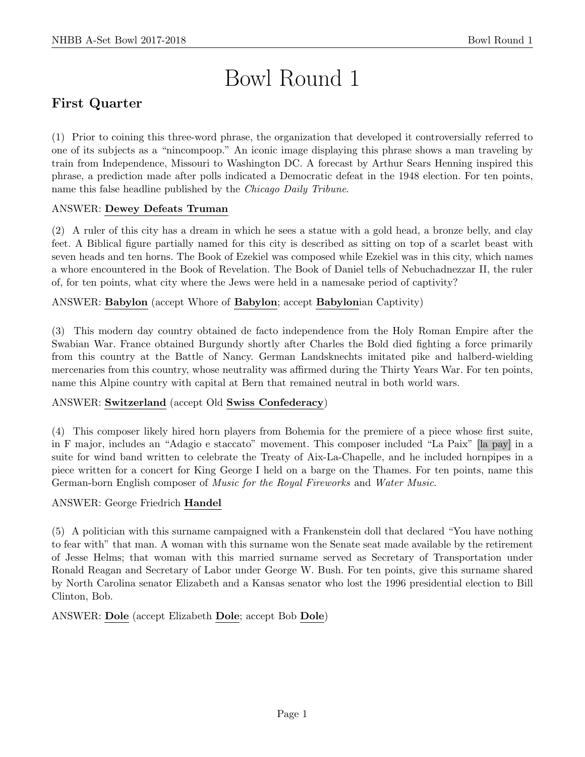# Bowl Round 1

# First Quarter

(1) Prior to coining this three-word phrase, the organization that developed it controversially referred to one of its subjects as a "nincompoop." An iconic image displaying this phrase shows a man traveling by train from Independence, Missouri to Washington DC. A forecast by Arthur Sears Henning inspired this phrase, a prediction made after polls indicated a Democratic defeat in the 1948 election. For ten points, name this false headline published by the Chicago Daily Tribune.

# ANSWER: Dewey Defeats Truman

(2) A ruler of this city has a dream in which he sees a statue with a gold head, a bronze belly, and clay feet. A Biblical figure partially named for this city is described as sitting on top of a scarlet beast with seven heads and ten horns. The Book of Ezekiel was composed while Ezekiel was in this city, which names a whore encountered in the Book of Revelation. The Book of Daniel tells of Nebuchadnezzar II, the ruler of, for ten points, what city where the Jews were held in a namesake period of captivity?

# ANSWER: Babylon (accept Whore of Babylon; accept Babylonian Captivity)

(3) This modern day country obtained de facto independence from the Holy Roman Empire after the Swabian War. France obtained Burgundy shortly after Charles the Bold died fighting a force primarily from this country at the Battle of Nancy. German Landsknechts imitated pike and halberd-wielding mercenaries from this country, whose neutrality was affirmed during the Thirty Years War. For ten points, name this Alpine country with capital at Bern that remained neutral in both world wars.

### ANSWER: Switzerland (accept Old Swiss Confederacy)

(4) This composer likely hired horn players from Bohemia for the premiere of a piece whose first suite, in F major, includes an "Adagio e staccato" movement. This composer included "La Paix" [la pay] in a suite for wind band written to celebrate the Treaty of Aix-La-Chapelle, and he included hornpipes in a piece written for a concert for King George I held on a barge on the Thames. For ten points, name this German-born English composer of Music for the Royal Fireworks and Water Music.

### ANSWER: George Friedrich Handel

(5) A politician with this surname campaigned with a Frankenstein doll that declared "You have nothing to fear with" that man. A woman with this surname won the Senate seat made available by the retirement of Jesse Helms; that woman with this married surname served as Secretary of Transportation under Ronald Reagan and Secretary of Labor under George W. Bush. For ten points, give this surname shared by North Carolina senator Elizabeth and a Kansas senator who lost the 1996 presidential election to Bill Clinton, Bob.

ANSWER: Dole (accept Elizabeth Dole; accept Bob Dole)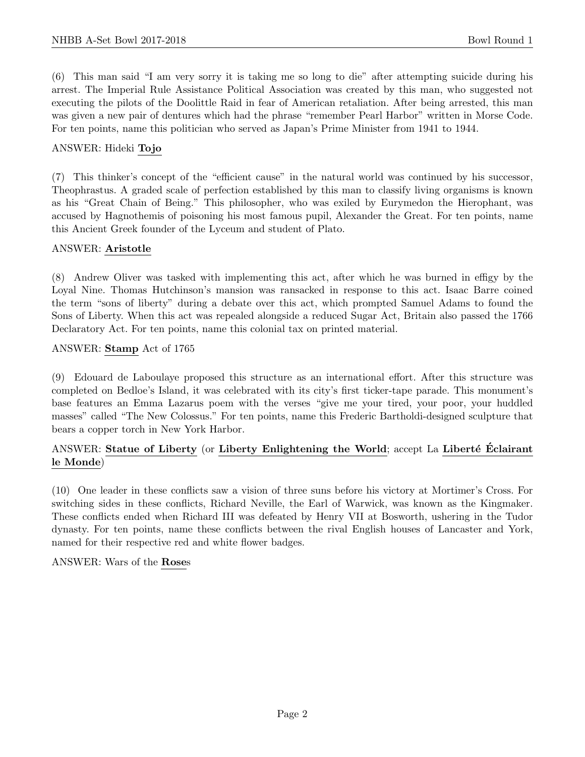(6) This man said "I am very sorry it is taking me so long to die" after attempting suicide during his arrest. The Imperial Rule Assistance Political Association was created by this man, who suggested not executing the pilots of the Doolittle Raid in fear of American retaliation. After being arrested, this man was given a new pair of dentures which had the phrase "remember Pearl Harbor" written in Morse Code. For ten points, name this politician who served as Japan's Prime Minister from 1941 to 1944.

#### ANSWER: Hideki Tojo

(7) This thinker's concept of the "efficient cause" in the natural world was continued by his successor, Theophrastus. A graded scale of perfection established by this man to classify living organisms is known as his "Great Chain of Being." This philosopher, who was exiled by Eurymedon the Hierophant, was accused by Hagnothemis of poisoning his most famous pupil, Alexander the Great. For ten points, name this Ancient Greek founder of the Lyceum and student of Plato.

#### ANSWER: Aristotle

(8) Andrew Oliver was tasked with implementing this act, after which he was burned in effigy by the Loyal Nine. Thomas Hutchinson's mansion was ransacked in response to this act. Isaac Barre coined the term "sons of liberty" during a debate over this act, which prompted Samuel Adams to found the Sons of Liberty. When this act was repealed alongside a reduced Sugar Act, Britain also passed the 1766 Declaratory Act. For ten points, name this colonial tax on printed material.

#### ANSWER: Stamp Act of 1765

(9) Edouard de Laboulaye proposed this structure as an international effort. After this structure was completed on Bedloe's Island, it was celebrated with its city's first ticker-tape parade. This monument's base features an Emma Lazarus poem with the verses "give me your tired, your poor, your huddled masses" called "The New Colossus." For ten points, name this Frederic Bartholdi-designed sculpture that bears a copper torch in New York Harbor.

### ANSWER: Statue of Liberty (or Liberty Enlightening the World; accept La Liberté Eclairant le Monde)

(10) One leader in these conflicts saw a vision of three suns before his victory at Mortimer's Cross. For switching sides in these conflicts, Richard Neville, the Earl of Warwick, was known as the Kingmaker. These conflicts ended when Richard III was defeated by Henry VII at Bosworth, ushering in the Tudor dynasty. For ten points, name these conflicts between the rival English houses of Lancaster and York, named for their respective red and white flower badges.

ANSWER: Wars of the Roses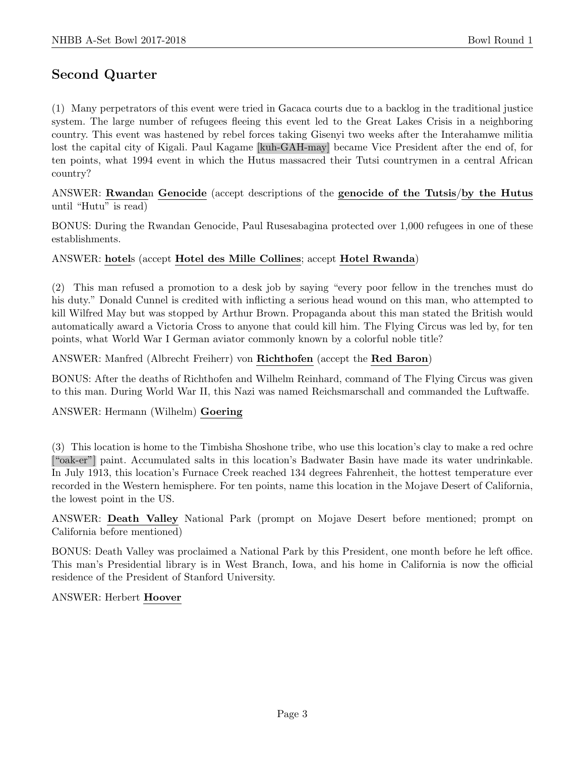# Second Quarter

(1) Many perpetrators of this event were tried in Gacaca courts due to a backlog in the traditional justice system. The large number of refugees fleeing this event led to the Great Lakes Crisis in a neighboring country. This event was hastened by rebel forces taking Gisenyi two weeks after the Interahamwe militia lost the capital city of Kigali. Paul Kagame [kuh-GAH-may] became Vice President after the end of, for ten points, what 1994 event in which the Hutus massacred their Tutsi countrymen in a central African country?

ANSWER: Rwandan Genocide (accept descriptions of the genocide of the Tutsis/by the Hutus until "Hutu" is read)

BONUS: During the Rwandan Genocide, Paul Rusesabagina protected over 1,000 refugees in one of these establishments.

#### ANSWER: hotels (accept Hotel des Mille Collines; accept Hotel Rwanda)

(2) This man refused a promotion to a desk job by saying "every poor fellow in the trenches must do his duty." Donald Cunnel is credited with inflicting a serious head wound on this man, who attempted to kill Wilfred May but was stopped by Arthur Brown. Propaganda about this man stated the British would automatically award a Victoria Cross to anyone that could kill him. The Flying Circus was led by, for ten points, what World War I German aviator commonly known by a colorful noble title?

#### ANSWER: Manfred (Albrecht Freiherr) von Richthofen (accept the Red Baron)

BONUS: After the deaths of Richthofen and Wilhelm Reinhard, command of The Flying Circus was given to this man. During World War II, this Nazi was named Reichsmarschall and commanded the Luftwaffe.

ANSWER: Hermann (Wilhelm) Goering

(3) This location is home to the Timbisha Shoshone tribe, who use this location's clay to make a red ochre ["oak-er"] paint. Accumulated salts in this location's Badwater Basin have made its water undrinkable. In July 1913, this location's Furnace Creek reached 134 degrees Fahrenheit, the hottest temperature ever recorded in the Western hemisphere. For ten points, name this location in the Mojave Desert of California, the lowest point in the US.

ANSWER: Death Valley National Park (prompt on Mojave Desert before mentioned; prompt on California before mentioned)

BONUS: Death Valley was proclaimed a National Park by this President, one month before he left office. This man's Presidential library is in West Branch, Iowa, and his home in California is now the official residence of the President of Stanford University.

#### ANSWER: Herbert Hoover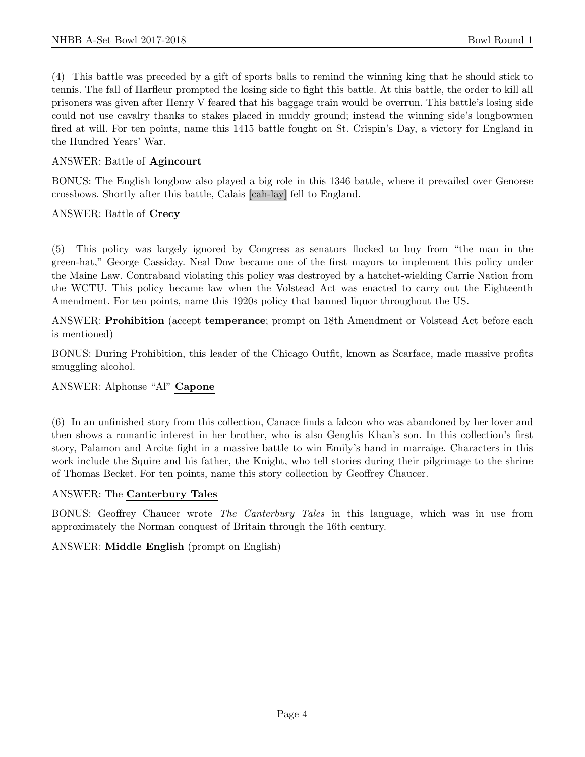(4) This battle was preceded by a gift of sports balls to remind the winning king that he should stick to tennis. The fall of Harfleur prompted the losing side to fight this battle. At this battle, the order to kill all prisoners was given after Henry V feared that his baggage train would be overrun. This battle's losing side could not use cavalry thanks to stakes placed in muddy ground; instead the winning side's longbowmen fired at will. For ten points, name this 1415 battle fought on St. Crispin's Day, a victory for England in the Hundred Years' War.

## ANSWER: Battle of Agincourt

BONUS: The English longbow also played a big role in this 1346 battle, where it prevailed over Genoese crossbows. Shortly after this battle, Calais [cah-lay] fell to England.

ANSWER: Battle of Crecy

(5) This policy was largely ignored by Congress as senators flocked to buy from "the man in the green-hat," George Cassiday. Neal Dow became one of the first mayors to implement this policy under the Maine Law. Contraband violating this policy was destroyed by a hatchet-wielding Carrie Nation from the WCTU. This policy became law when the Volstead Act was enacted to carry out the Eighteenth Amendment. For ten points, name this 1920s policy that banned liquor throughout the US.

ANSWER: Prohibition (accept temperance; prompt on 18th Amendment or Volstead Act before each is mentioned)

BONUS: During Prohibition, this leader of the Chicago Outfit, known as Scarface, made massive profits smuggling alcohol.

### ANSWER: Alphonse "Al" Capone

(6) In an unfinished story from this collection, Canace finds a falcon who was abandoned by her lover and then shows a romantic interest in her brother, who is also Genghis Khan's son. In this collection's first story, Palamon and Arcite fight in a massive battle to win Emily's hand in marraige. Characters in this work include the Squire and his father, the Knight, who tell stories during their pilgrimage to the shrine of Thomas Becket. For ten points, name this story collection by Geoffrey Chaucer.

#### ANSWER: The Canterbury Tales

BONUS: Geoffrey Chaucer wrote The Canterbury Tales in this language, which was in use from approximately the Norman conquest of Britain through the 16th century.

#### ANSWER: Middle English (prompt on English)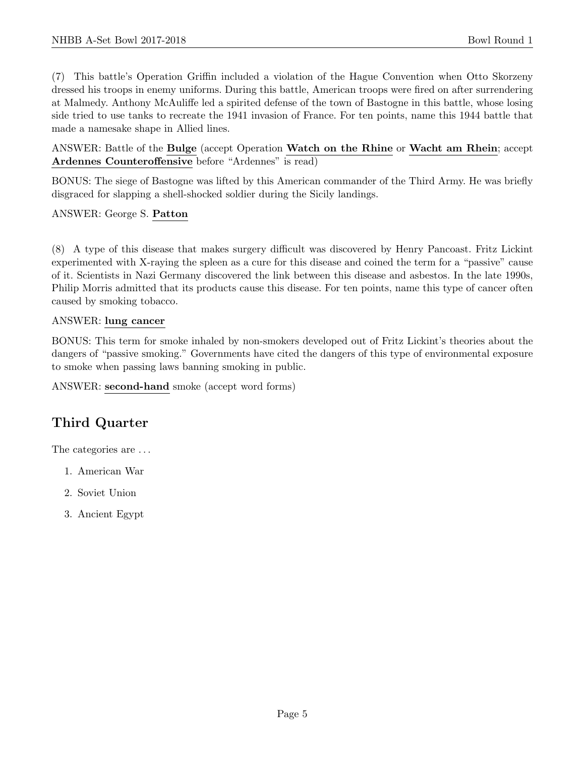(7) This battle's Operation Griffin included a violation of the Hague Convention when Otto Skorzeny dressed his troops in enemy uniforms. During this battle, American troops were fired on after surrendering at Malmedy. Anthony McAuliffe led a spirited defense of the town of Bastogne in this battle, whose losing side tried to use tanks to recreate the 1941 invasion of France. For ten points, name this 1944 battle that made a namesake shape in Allied lines.

ANSWER: Battle of the Bulge (accept Operation Watch on the Rhine or Wacht am Rhein; accept Ardennes Counteroffensive before "Ardennes" is read)

BONUS: The siege of Bastogne was lifted by this American commander of the Third Army. He was briefly disgraced for slapping a shell-shocked soldier during the Sicily landings.

ANSWER: George S. Patton

(8) A type of this disease that makes surgery difficult was discovered by Henry Pancoast. Fritz Lickint experimented with X-raying the spleen as a cure for this disease and coined the term for a "passive" cause of it. Scientists in Nazi Germany discovered the link between this disease and asbestos. In the late 1990s, Philip Morris admitted that its products cause this disease. For ten points, name this type of cancer often caused by smoking tobacco.

#### ANSWER: lung cancer

BONUS: This term for smoke inhaled by non-smokers developed out of Fritz Lickint's theories about the dangers of "passive smoking." Governments have cited the dangers of this type of environmental exposure to smoke when passing laws banning smoking in public.

ANSWER: second-hand smoke (accept word forms)

# Third Quarter

The categories are  $\dots$ 

- 1. American War
- 2. Soviet Union
- 3. Ancient Egypt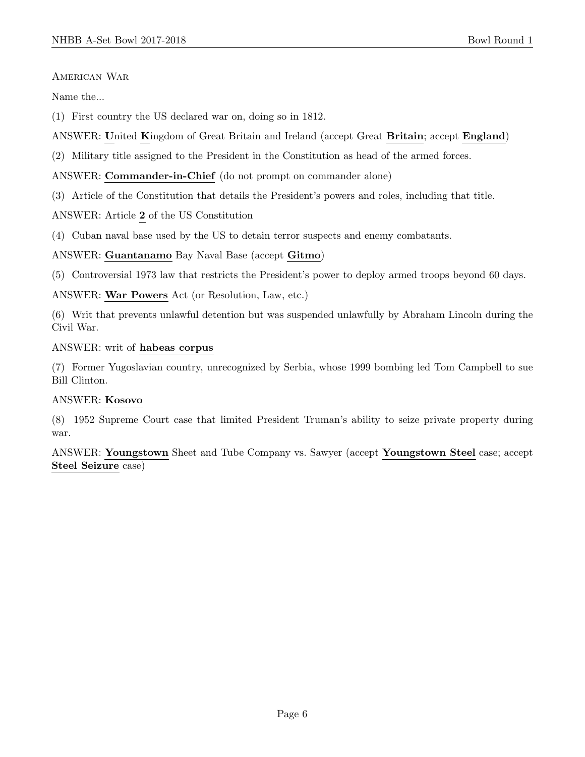AMERICAN WAR

Name the...

(1) First country the US declared war on, doing so in 1812.

- ANSWER: United Kingdom of Great Britain and Ireland (accept Great Britain; accept England)
- (2) Military title assigned to the President in the Constitution as head of the armed forces.

#### ANSWER: Commander-in-Chief (do not prompt on commander alone)

(3) Article of the Constitution that details the President's powers and roles, including that title.

ANSWER: Article 2 of the US Constitution

(4) Cuban naval base used by the US to detain terror suspects and enemy combatants.

#### ANSWER: Guantanamo Bay Naval Base (accept Gitmo)

(5) Controversial 1973 law that restricts the President's power to deploy armed troops beyond 60 days.

ANSWER: War Powers Act (or Resolution, Law, etc.)

(6) Writ that prevents unlawful detention but was suspended unlawfully by Abraham Lincoln during the Civil War.

ANSWER: writ of habeas corpus

(7) Former Yugoslavian country, unrecognized by Serbia, whose 1999 bombing led Tom Campbell to sue Bill Clinton.

#### ANSWER: Kosovo

(8) 1952 Supreme Court case that limited President Truman's ability to seize private property during war.

ANSWER: Youngstown Sheet and Tube Company vs. Sawyer (accept Youngstown Steel case; accept Steel Seizure case)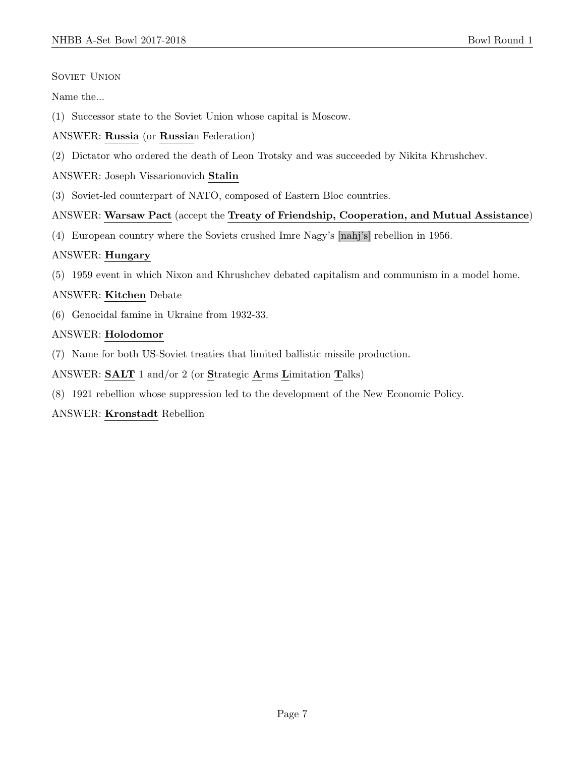# SOVIET UNION

Name the...

- (1) Successor state to the Soviet Union whose capital is Moscow.
- ANSWER: Russia (or Russian Federation)
- (2) Dictator who ordered the death of Leon Trotsky and was succeeded by Nikita Khrushchev.

# ANSWER: Joseph Vissarionovich Stalin

(3) Soviet-led counterpart of NATO, composed of Eastern Bloc countries.

# ANSWER: Warsaw Pact (accept the Treaty of Friendship, Cooperation, and Mutual Assistance)

(4) European country where the Soviets crushed Imre Nagy's [nahj's] rebellion in 1956.

# ANSWER: Hungary

(5) 1959 event in which Nixon and Khrushchev debated capitalism and communism in a model home.

# ANSWER: Kitchen Debate

(6) Genocidal famine in Ukraine from 1932-33.

# ANSWER: Holodomor

(7) Name for both US-Soviet treaties that limited ballistic missile production.

ANSWER: SALT 1 and/or 2 (or Strategic Arms Limitation Talks)

(8) 1921 rebellion whose suppression led to the development of the New Economic Policy.

### ANSWER: Kronstadt Rebellion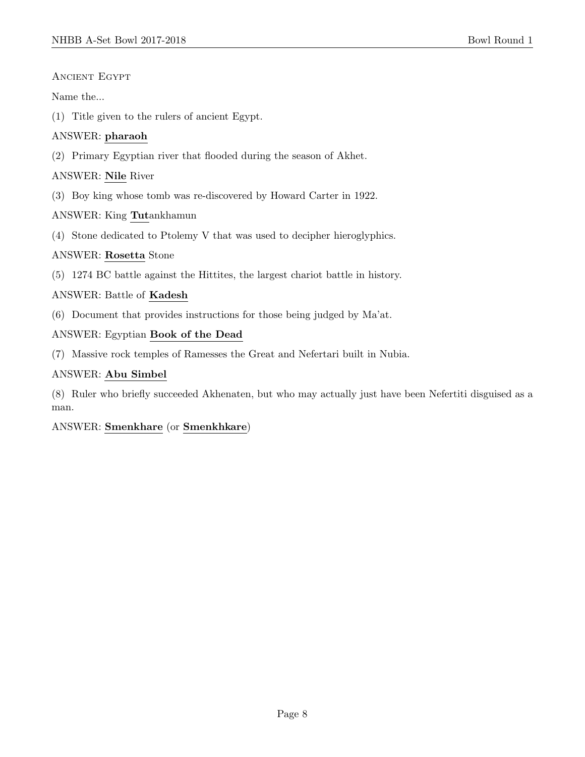## Ancient Egypt

Name the...

(1) Title given to the rulers of ancient Egypt.

# ANSWER: pharaoh

(2) Primary Egyptian river that flooded during the season of Akhet.

# ANSWER: Nile River

(3) Boy king whose tomb was re-discovered by Howard Carter in 1922.

# ANSWER: King Tutankhamun

(4) Stone dedicated to Ptolemy V that was used to decipher hieroglyphics.

# ANSWER: Rosetta Stone

(5) 1274 BC battle against the Hittites, the largest chariot battle in history.

# ANSWER: Battle of Kadesh

(6) Document that provides instructions for those being judged by Ma'at.

# ANSWER: Egyptian Book of the Dead

(7) Massive rock temples of Ramesses the Great and Nefertari built in Nubia.

# ANSWER: Abu Simbel

(8) Ruler who briefly succeeded Akhenaten, but who may actually just have been Nefertiti disguised as a man.

# ANSWER: Smenkhare (or Smenkhkare)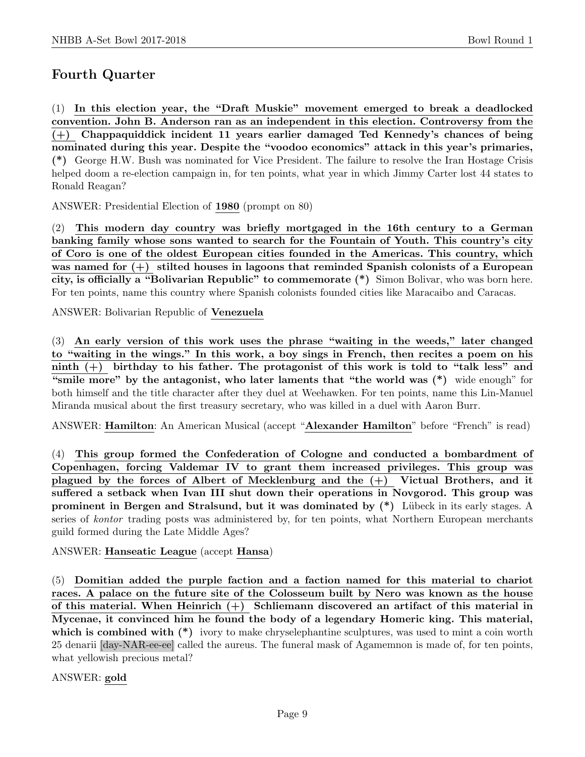# Fourth Quarter

(1) In this election year, the "Draft Muskie" movement emerged to break a deadlocked convention. John B. Anderson ran as an independent in this election. Controversy from the (+) Chappaquiddick incident 11 years earlier damaged Ted Kennedy's chances of being nominated during this year. Despite the "voodoo economics" attack in this year's primaries, (\*) George H.W. Bush was nominated for Vice President. The failure to resolve the Iran Hostage Crisis helped doom a re-election campaign in, for ten points, what year in which Jimmy Carter lost 44 states to Ronald Reagan?

ANSWER: Presidential Election of 1980 (prompt on 80)

(2) This modern day country was briefly mortgaged in the 16th century to a German banking family whose sons wanted to search for the Fountain of Youth. This country's city of Coro is one of the oldest European cities founded in the Americas. This country, which was named for  $(+)$  stilted houses in lagoons that reminded Spanish colonists of a European city, is officially a "Bolivarian Republic" to commemorate (\*) Simon Bolivar, who was born here. For ten points, name this country where Spanish colonists founded cities like Maracaibo and Caracas.

ANSWER: Bolivarian Republic of Venezuela

(3) An early version of this work uses the phrase "waiting in the weeds," later changed to "waiting in the wings." In this work, a boy sings in French, then recites a poem on his ninth (+) birthday to his father. The protagonist of this work is told to "talk less" and "smile more" by the antagonist, who later laments that "the world was (\*) wide enough" for both himself and the title character after they duel at Weehawken. For ten points, name this Lin-Manuel Miranda musical about the first treasury secretary, who was killed in a duel with Aaron Burr.

ANSWER: Hamilton: An American Musical (accept "Alexander Hamilton" before "French" is read)

(4) This group formed the Confederation of Cologne and conducted a bombardment of Copenhagen, forcing Valdemar IV to grant them increased privileges. This group was plagued by the forces of Albert of Mecklenburg and the (+) Victual Brothers, and it suffered a setback when Ivan III shut down their operations in Novgorod. This group was prominent in Bergen and Stralsund, but it was dominated by  $(*)$  Lübeck in its early stages. A series of kontor trading posts was administered by, for ten points, what Northern European merchants guild formed during the Late Middle Ages?

ANSWER: Hanseatic League (accept Hansa)

(5) Domitian added the purple faction and a faction named for this material to chariot races. A palace on the future site of the Colosseum built by Nero was known as the house of this material. When Heinrich  $(+)$  Schliemann discovered an artifact of this material in Mycenae, it convinced him he found the body of a legendary Homeric king. This material, which is combined with  $(*)$  ivory to make chryselephantine sculptures, was used to mint a coin worth 25 denarii [day-NAR-ee-ee] called the aureus. The funeral mask of Agamemnon is made of, for ten points, what yellowish precious metal?

ANSWER: gold